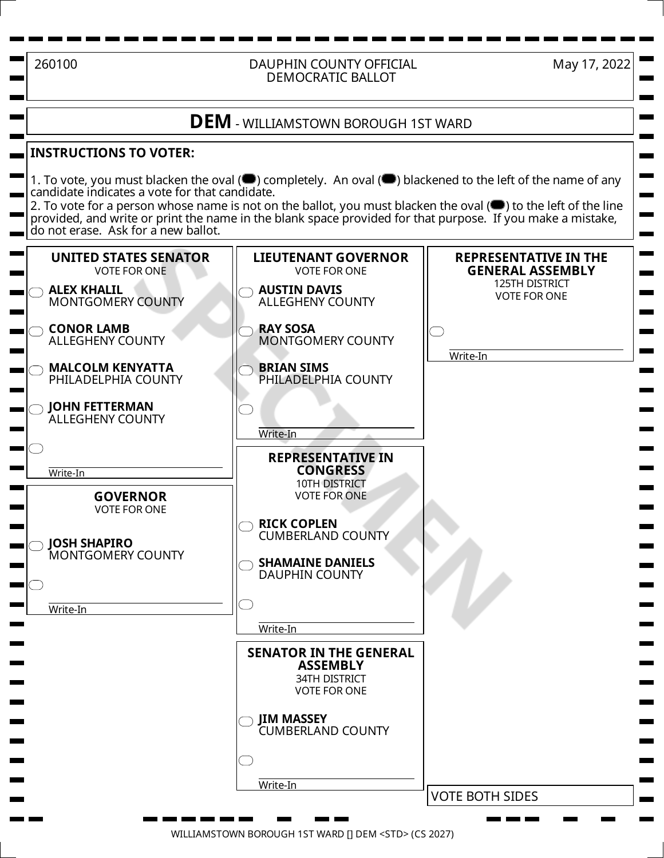## 260100 DAUPHIN COUNTY OFFICIAL DEMOCRATIC BALLOT

May 17, 2022

## **DEM** - WILLIAMSTOWN BOROUGH 1ST WARD

## **INSTRUCTIONS TO VOTER:**

1. To vote, you must blacken the oval (●) completely. An oval (●) blackened to the left of the name of any candidate indicates a vote for that candidate.

2. To vote for a person whose name is not on the ballot, you must blacken the oval ( $\blacksquare$ ) to the left of the line provided, and write or print the name in the blank space provided for that purpose. If you make a mistake, do not erase. Ask for a new ballot.